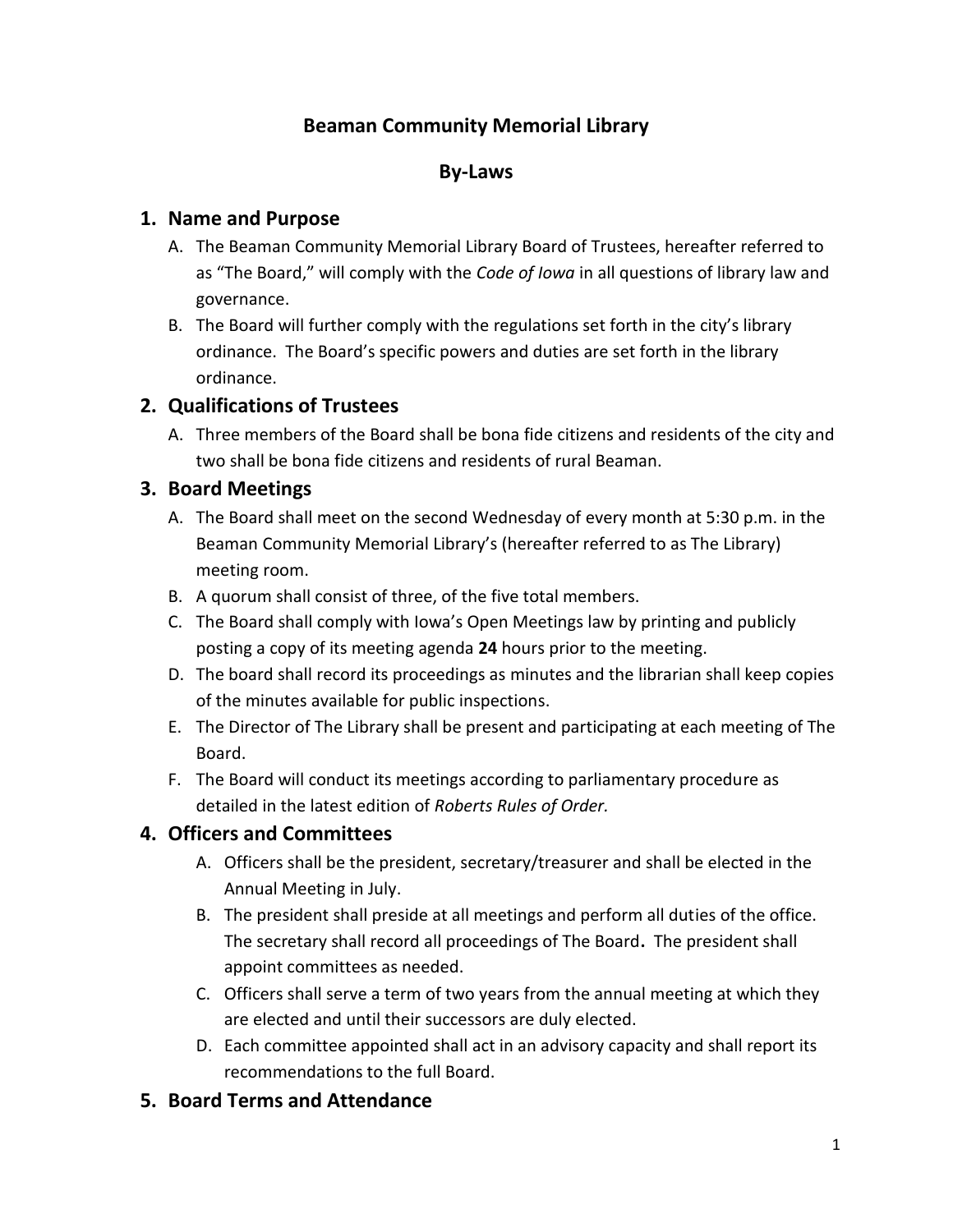# **Beaman Community Memorial Library**

### **By-Laws**

#### **1. Name and Purpose**

- A. The Beaman Community Memorial Library Board of Trustees, hereafter referred to as "The Board," will comply with the *Code of Iowa* in all questions of library law and governance.
- B. The Board will further comply with the regulations set forth in the city's library ordinance. The Board's specific powers and duties are set forth in the library ordinance.

#### **2. Qualifications of Trustees**

A. Three members of the Board shall be bona fide citizens and residents of the city and two shall be bona fide citizens and residents of rural Beaman.

#### **3. Board Meetings**

- A. The Board shall meet on the second Wednesday of every month at 5:30 p.m. in the Beaman Community Memorial Library's (hereafter referred to as The Library) meeting room.
- B. A quorum shall consist of three, of the five total members.
- C. The Board shall comply with Iowa's Open Meetings law by printing and publicly posting a copy of its meeting agenda **24** hours prior to the meeting.
- D. The board shall record its proceedings as minutes and the librarian shall keep copies of the minutes available for public inspections.
- E. The Director of The Library shall be present and participating at each meeting of The Board.
- F. The Board will conduct its meetings according to parliamentary procedure as detailed in the latest edition of *Roberts Rules of Order.*

#### **4. Officers and Committees**

- A. Officers shall be the president, secretary/treasurer and shall be elected in the Annual Meeting in July.
- B. The president shall preside at all meetings and perform all duties of the office. The secretary shall record all proceedings of The Board**.** The president shall appoint committees as needed.
- C. Officers shall serve a term of two years from the annual meeting at which they are elected and until their successors are duly elected.
- D. Each committee appointed shall act in an advisory capacity and shall report its recommendations to the full Board.

#### **5. Board Terms and Attendance**